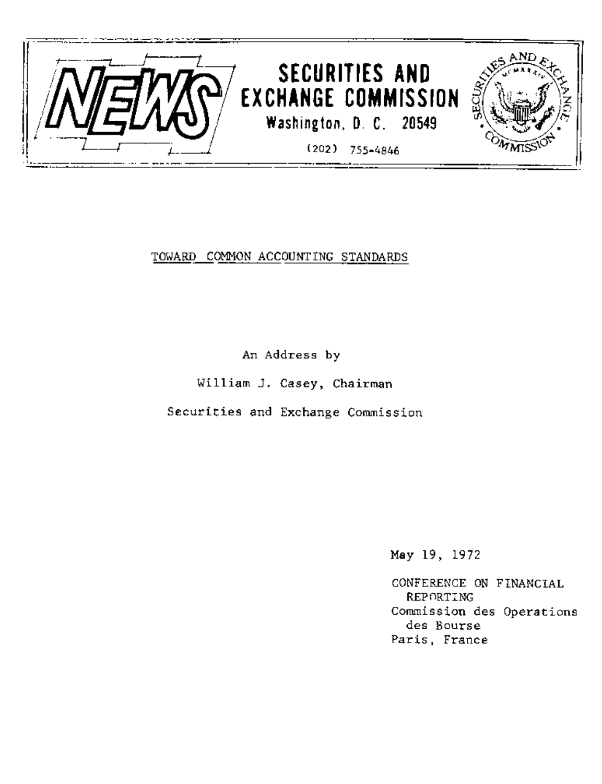

## TOWARD COMMON ACCOUNTING STANDARDS

An Address by

William J. Casey, Chairman

Securities and Exchange Commission

May 19, 1972

CONFERENCE ON FINANCIAL REPORTING Commission des Operations des Bourse Paris, France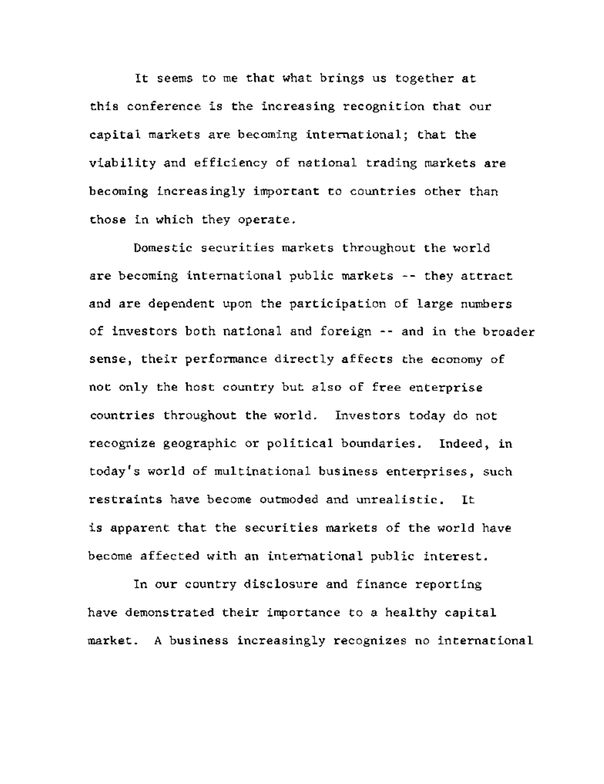It seems to me that what brings us together at this conference is the increasing recognition that our capital markets are becoming international; that the viability and efficiency of national trading markets are becoming increasingly important to countries other than those in which they operate.

Domestic securities markets throughout the world are becoming international public markets -- they attract and are dependent upon the participation of large numbers of investors both national and foreign -- and in the broader sense, their performance directly affects the economy of not only the host country but also of free enterprise countries throughout the world. Investors today do not recognize geographic or political boundaries. Indeed, in today's world of multinational business enterprises, such restraints have become outmoded and unrealistic. It is apparent that the securities markets of the world have become affected with an international public interest.

In our country disclosure and finance reporting have demonstrated their importance to a healthy capital market. A business increasingly recognizes no international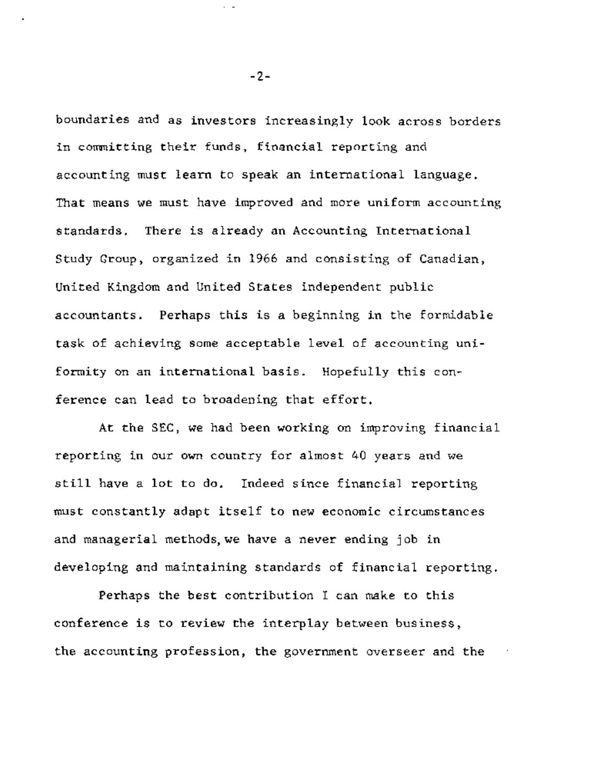boundaries and as investors increasingly look across borders in committing their funds, financial reporting and accounting must learn to speak an international language. That means we must have improved and more uniform accounting standards. There is already an Accounting International Study Group, organized in 1966 and consisting of Canadian, United Kingdom and United States independent public accountants. Perhaps this is a beginning in the formidable task of achieving some acceptable level of accounting uniformity on an international basis. Hopefully this conference can lead to broadening that effort.

At the SEC, we had been working on improving financial reporting in our own country for almost 40 years and we still have a lot to do. Indeed since financial reporting must constantly adapt itself to new economic circumstances and managerial methods, we have a never ending job in developing and maintaining standards of financial reporting.

Perhaps the best contribution I can make to this conference is to review the interplay between business, the accounting profession, the government overseer and the

-2-

 $\cdot$   $-$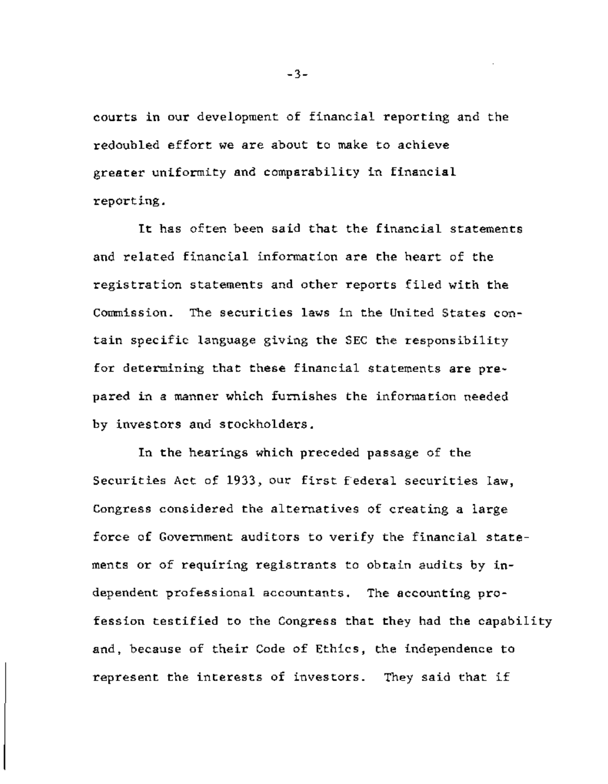courts in our development of financial reporting and the redoubled effort we are about to make to achieve greater uniformity and comparability in financial reporting.

It has often been said that the financial statements and related financial information are the heart of the registration statements and other reports filed with the Commission. The securities laws in the United States contain specific language giving the SEC the responsibility for determining that these financial statements are prepared in a manner which furnishes the information needed by investors and stockholders.

In the hearings which preceded passage of the Securities Act of 1933, our first federal securities law, Congress considered the alternatives of creating a large force of Government auditors to verify the financial statements or of requiring registrants to obtain audits by independent professional accountants. The accounting profession testified to the Congress that they had the capability and, because of their Code of Ethics, the independence to represent the interests of investors. They said that if

-3-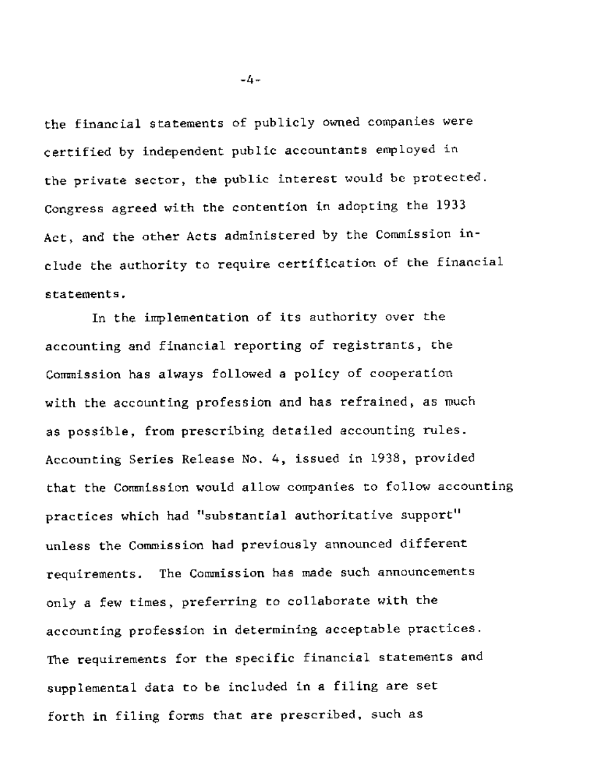the financial statements of publicly owned companies were certified by independent public accountants employed in the private sector, the public interest would be protected. Congress agreed with the contention in adopting the 1933 Act, and the other Acts administered by the Commission include the authority to require certification of the financial statements.

In the implementation of its authority over the accounting and financial reporting of registrants, the Commission has always followed a policy of cooperation with the accounting profession and has refrained, as much as possible, from prescribing detailed accounting rules. Accounting Series Release No. 4, issued in 1938, provided that the Commission would allow companies to follow accounting practices which had "substantial authoritative support" unless the Commission had previously announced different requirements. The Commission has made such announcements only a few times, preferring to collaborate with the accounting profession in determining acceptable practices. The requirements for the specific financial statements and supplemental data to be included in a filing are set forth in filing forms that are prescribed, such as

-4-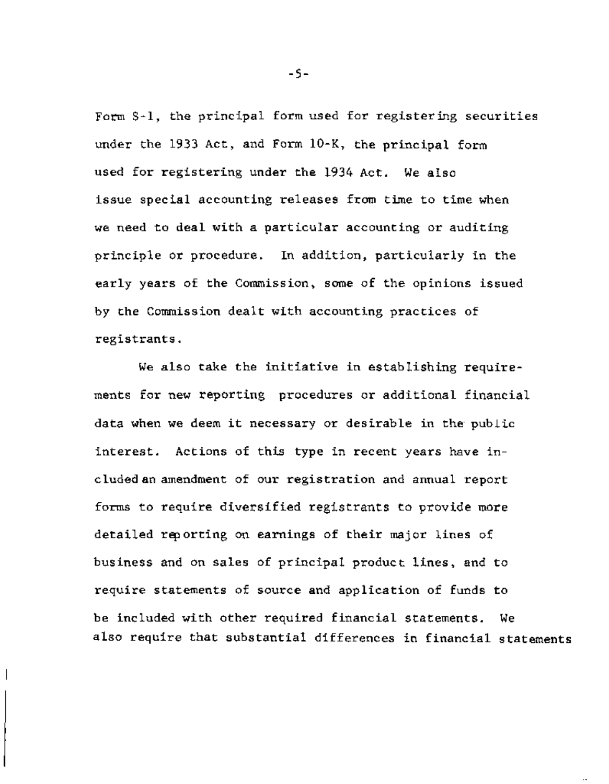Form S-l, the principal form used for registering securities under the 1933 Act, and Form 10-K, the principal form used for registering under the 1934 Act. We also issue special accounting releases from time to time when we need to deal with a particular accounting or auditing principle or procedure. In addition, particularly in the early years of the Commission, some of the opinions issued by the Commission dealt with accounting practices of registrants.

We also take the initiative in establishing requirements for new reporting procedures or additional financial data when we deem it necessary or desirable in the public interest. Actions of this type in recent years have included an amendment of our registration and annual report forms to require diversified registrants to provide more detailed reporting on earnings of their major lines of business and on sales of principal product lines, and to require statements of source and application of funds to be included with other required financial statements. We also require that substantial differences in financial statements

-5-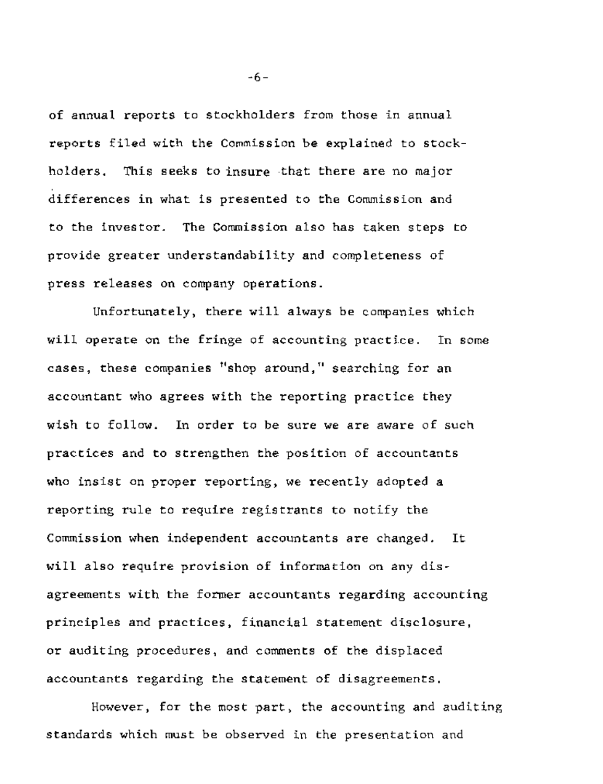of annual reports to stockholders from those in annual reports filed with the Commission be explained to stockholders. This seeks to insure that there are no major differences in what is presented to the Commission and to the investor. The Commission also has taken steps to provide greater understandability and completeness of press releases on company operations.

Unfortunately, there will always be companies which will operate on the fringe of accounting practice. In some cases, these companies "shop around," searching for an accountant who agrees with the reporting practice they wish to follow. In order to be sure we are aware of such practices and to strengthen the position of accountants who insist on proper reporting, we recently adopted a reporting rule to require registrants to notify the Commission when independent accountants are changed. It will also require provision of information on any disagreements with the former accountants regarding accounting principles and practices, financial statement disclosure, or auditing procedures, and comments of the displaced accountants regarding the statement of disagreements.

However, for the most part, the accounting and auditing standards which must be observed in the presentation and

-6-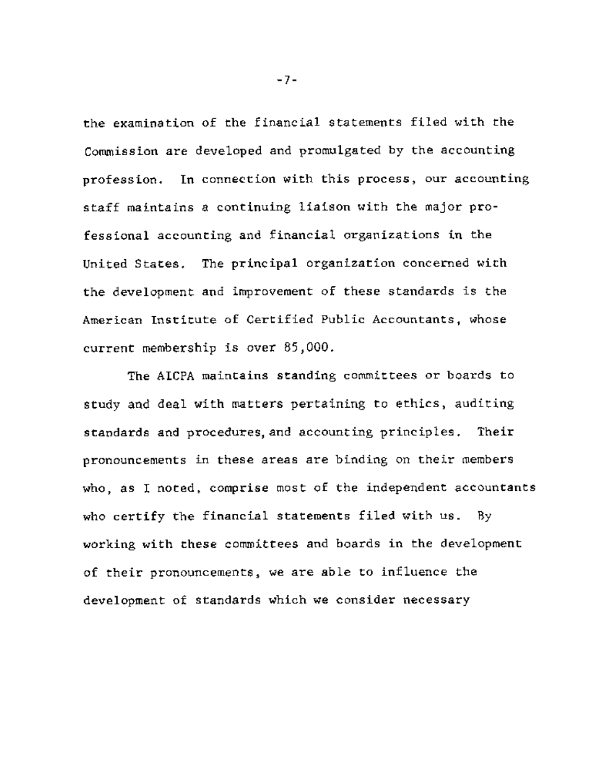the examination of the financial statements filed with the Commission are developed and promulgated by the accounting profession. In connection with this process, our accounting staff maintains a continuing liaison with the major professional accounting and financial organizations in the United States. The principal organization concerned with the development and improvement of these standards is the American Institute of Certified Public Accountants, whose current membership is over 85,000.

The AICPA maintains standing committees or boards to study and deal with matters pertaining to ethics, auditing standards and procedures, and accounting principles. Their pronouncements in these areas are binding on their members who, as I noted, comprise most of the independent accountants who certify the financial statements filed with us. By working with these committees and boards in the development of their pronouncements, we are able to influence the development of standards which we consider necessary

-7-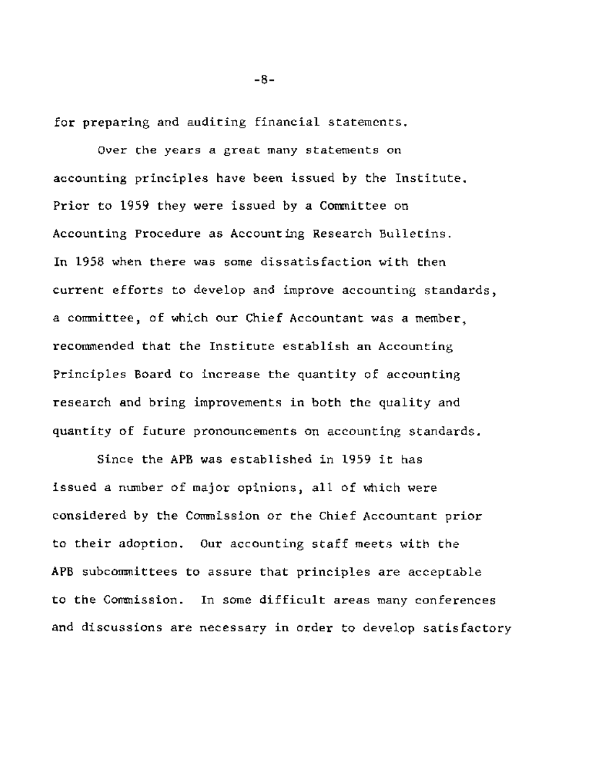for preparing and auditing financial statements.

Over the years a great many statements on accounting principles have been issued by the Institute. Prior to 1959 they were issued by a Committee on Accounting Procedure as Accounting Research Bulletins. In 1958 when there was some dissatisfaction with then current efforts to develop and improve accounting standards, a committee, of which our Chief Accountant was a member, recommended that the Institute establish an Accounting Principles Board to increase the quantity of accounting research and bring improvements in both the quality and quantity of future pronouncements on accounting standards.

Since the APB was established in 1959 it has issued a number of major opinions, all of which were considered by the Commission or the Chief Accountant prior to their adoption. Our accounting staff meets with the APB subcommittees to assure that principles are acceptable to the Commission. In some difficult areas many conferences and discussions are necessary in order to develop satisfactory

**-8-**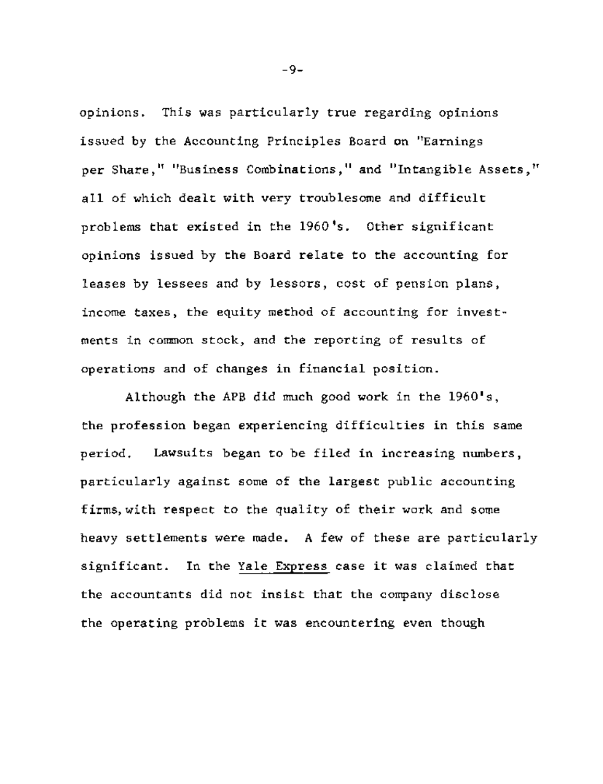opinions. This was particularly true regarding opinions issued by the Accounting Principles Board on "Earnings per Share," "Business Combinations," and "Intangible Assets," all of which dealt with very troublesome and difficult problems that existed in the 1960's. Other significant opinions issued by the Board relate to the accounting for leases by lessees and by lessors, cost of pension plans, income taxes, the equity method of accounting for investments in common stock, and the reporting of results of operations and of changes in financial position.

Although the APB did much good work in the 1960's, the profession began experiencing difficulties in this same period. Lawsuits began to be filed in increasing numbers, particularly against some of the largest public accounting firms, with respect to the quality of their work and some heavy settlements were made. A few of these are particularly significant. In the Yale Express case it was claimed that the accountants did not insist that the company disclose the operating problems it was encountering even though

-9-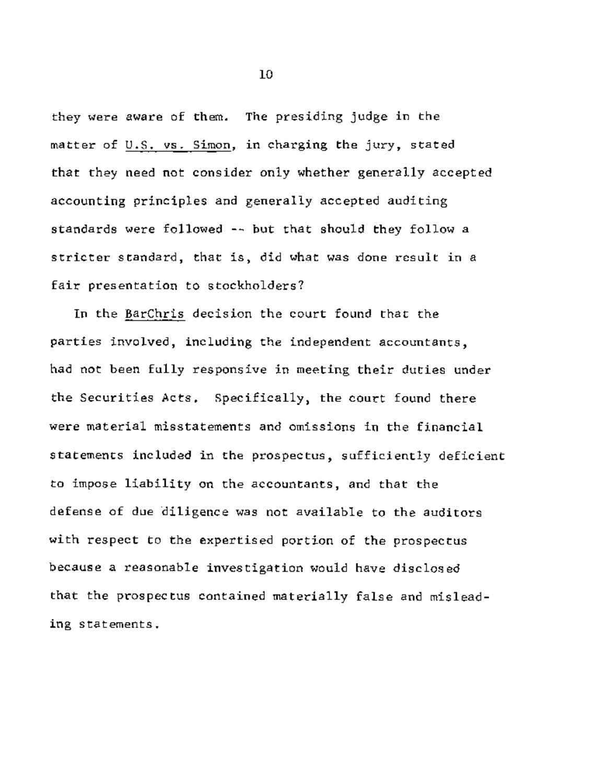they were aware of them. The presiding judge in the matter of U.S. vs. Simon, in charging the jury, stated that they need not consider only whether generally accepted accounting principles and generally accepted auditing standards were followed -- but that should they follow a stricter standard, that is, did what was done result in a fair presentation to stockholders?

In the BarChris decision the court found that the parties involved, including the independent accountants, had not been fully responsive in meeting their duties under the Securities Acts. Specifically, the court found there were material misstatements and omissions in the financial statements included in the prospectus, sufficiently deficient to impose liability on the accountants, and that the defense of due diligence was not available to the auditors with respect to the expertised portion of the prospectus because a reasonable investigation would have disclosed that the prospectus contained materially false and misleading statements.

 $10$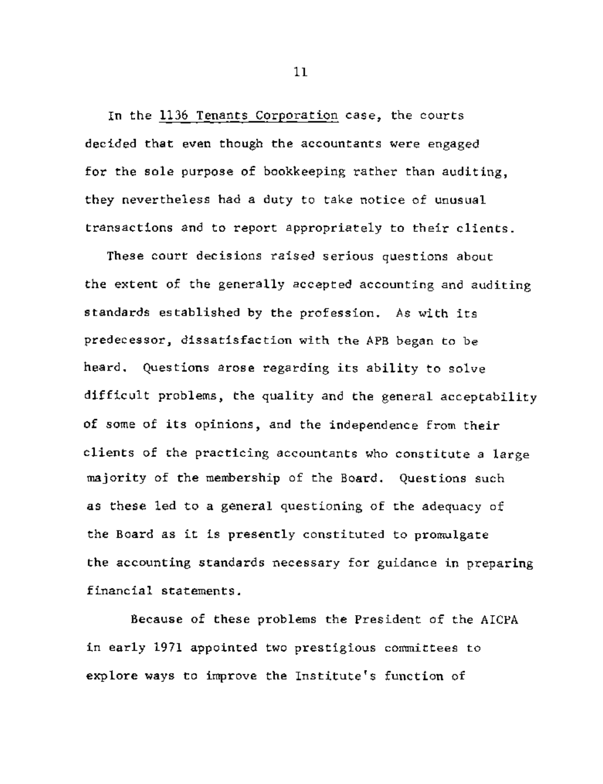In the 1136 Tenants Corporation case, the courts decided that even though the accountants were engaged for the sole purpose of bookkeeping rather than auditing, they nevertheless had a duty to take notice of unusual transactions and to report appropriately to their clients.

These court decisions raised serious questions about the extent of the generally accepted accounting and auditing standards established by the profession. As with its predecessor, dissatisfaction with the APB began to be heard. Questions arose regarding its ability to solve difficult problems, the quality and the general acceptability of some of its opinions, and the independence from their clients of the practicing accountants who constitute a large majority of the membership of the Board. Questions such as these led to a general questioning of the adequacy of the Board as it is presently constituted to promulgate the accounting standards necessary for guidance in preparing financial statements.

Because of these problems the President of the AICPA in early 1971 appointed two prestigious committees to explore ways to improve the Institute's function of

ii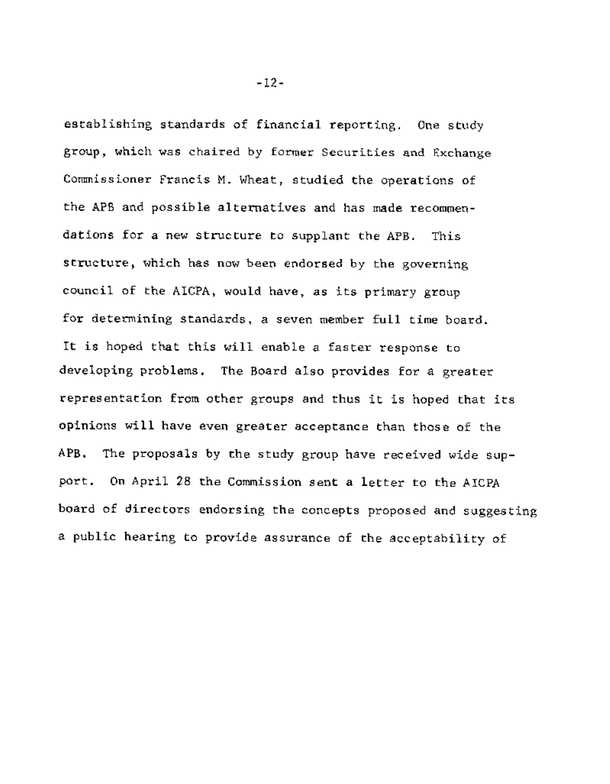establishing standards of financial reporting. One study group, which was chaired by former Securities and Exchange Commissioner Francis M. Wheat, studied the operations of the APB and possible alternatives and has made recommendations for a new structure to supplant the APB. This structure, which has now been endorsed by the governing council of the AICPA, would have, as its primary group for determining standards, a seven member full time board. It is hoped that this will enable a faster response to developing problems. The Board also provides for a greater representation from other groups and thus it is hoped that its opinions will have even greater acceptance than those of the APB. The proposals by the study group have received wide support. On April 28 the Commission sent a letter to the AICPA board of directors endorsing the concepts proposed and suggesting a public hearing to provide assurance of the acceptability of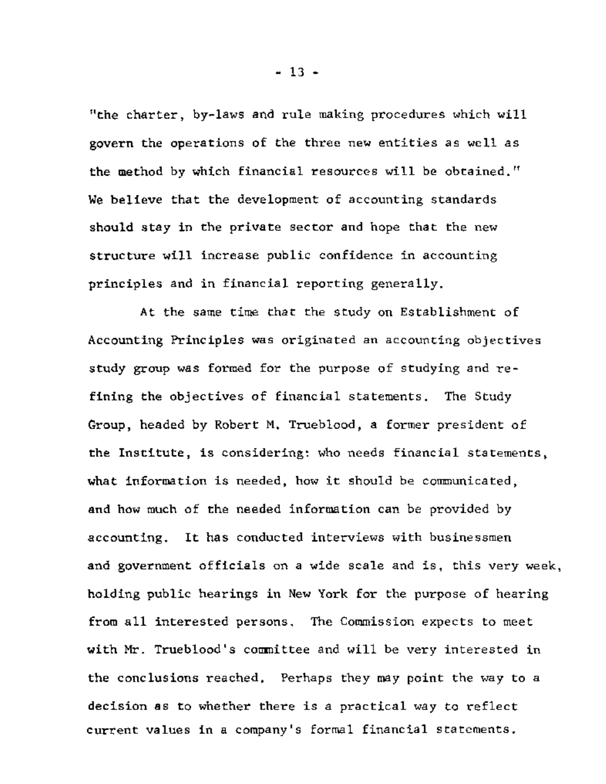"the charter, by-laws and rule making procedures which will govern the operations of the three new entities as well as the method by which financial resources will be obtained." We believe that the development of accounting standards should stay in the private sector and hope that the new structure will increase public confidence in accounting principles and in financial reporting generally.

At the same time that the study on Establishment of Accounting Principles was originated an accounting objectives study group was formed for the purpose of studying and refining the objectives of financial statements. The Study Group, headed by Robert M. Trueblood, a former president of the Institute, is considering: who needs financial statements, what information is needed, how it should be communicated, and how much of the needed information can be provided by accounting. It has conducted interviews with businessmen and government officials on a wide scale and is, this very week, holding public hearings in New York for the purpose of hearing from all interested persons. The Commission expects to meet with Mr. Trueblood's committee and will be very interested in the conclusions reached. Perhaps they may point the way to a decision as to whether there is a practical way to reflect current values in a company's formal financial statements.

**- 13 -**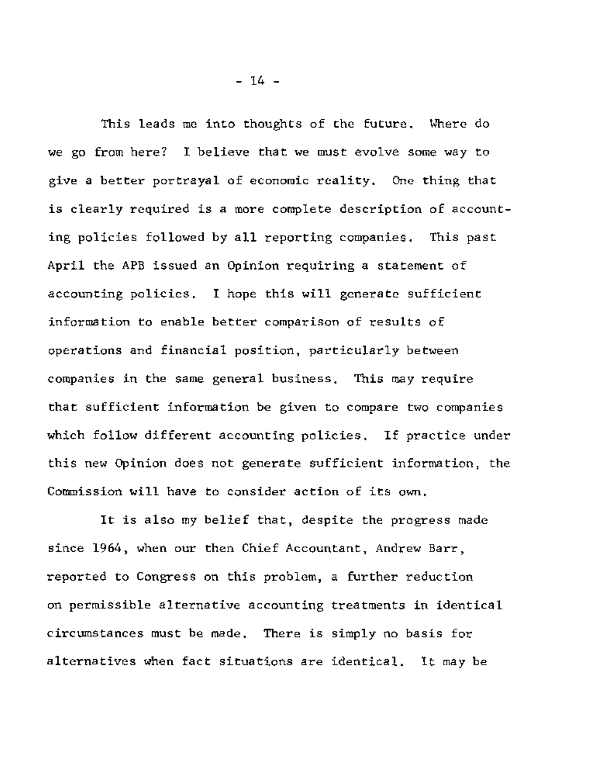This leads me into thoughts of the future. Where do we go from here? I believe that we must evolve some way to give a better portrayal of economic reality. One thing that is clearly required is a more complete description of accounting policies followed by all reporting companies. This past April the APB issued an Opinion requiring a statement of accounting policies. I hope this will generate sufficient information to enable better comparison of results of operations and financial position, particularly between companies in the same general business. This may require that sufficient information be given to compare two companies which follow different accounting policies. If practice under this new Opinion does not generate sufficient information, the Commission will have to consider action of its own.

It is also my belief that, despite the progress made since 1964, when our then Chief Accountant, Andrew Barr, reported to Congress on this problem, a further reduction on permissible alternative accounting treatments in identical circumstances must be made. There is simply no basis for alternatives when fact situations are identical. It may be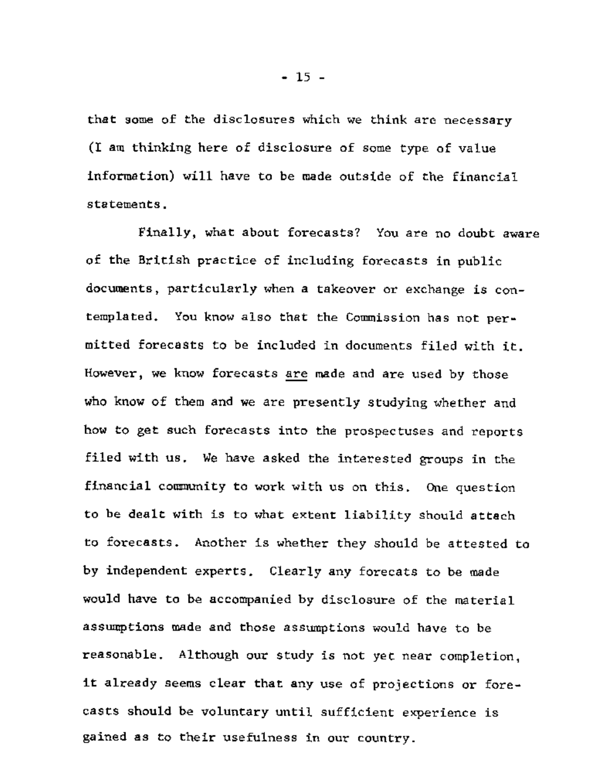that some of the disclosures which we think are necessary (I am thinking here of disclosure of some type of value information) will have to be made outside of the financial statements.

Finally, what about forecasts? You are no doubt aware of the British practice of including forecasts in public documents, particularly when a takeover or exchange is contemplated. You know also that the Commission has not permitted forecasts to be included in documents filed with it. However, we know forecasts are made and are used by those who know of them and we are presently studying whether and how to get such forecasts into the prospectuses and reports filed with us. We have asked the interested groups in the financial community to work with us on this. One question to be dealt with is to what extent liability should attach to forecasts. Another is whether they should be attested to by independent experts. Clearly any forecats to be made would have to be accompanied by disclosure of the material assumptions made and those assumptions would have to be reasonable. Although our study is not yet near completion, it already seems clear that any use of projections or forecasts should be voluntary until sufficient experience is gained as to their usefulness in our country.

**- 15 -**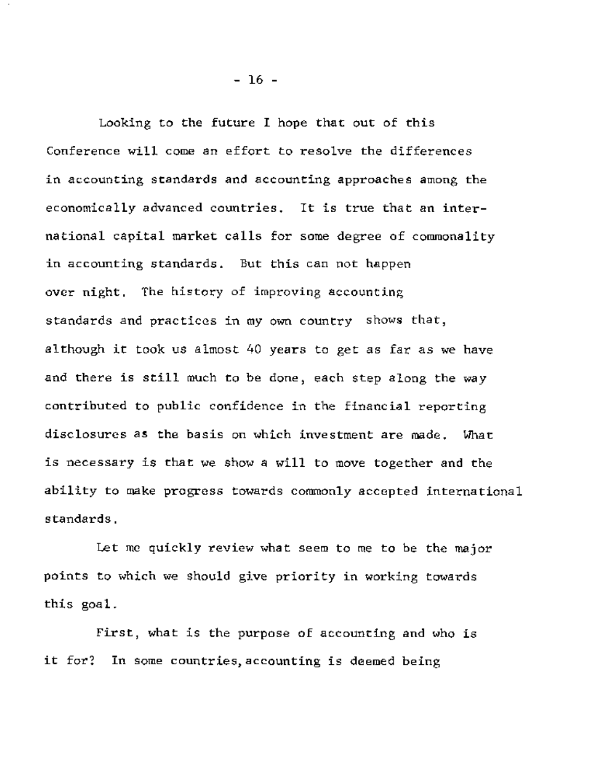Looking to the future I hope that out of this Conference will come an effort to resolve the differences in accounting standards and accounting approaches among the economically advanced countries. It is true that an international capital market calls for some degree of commonality in accounting standards. But this can not happen over night. The history of improving accounting standards and practices in my own country shows that, although it took us almost 40 years to get as far as we have and there is still much to be done, each step along the way contributed to public confidence in the financial reporting disclosures as the basis on which investment are made. What is necessary is that we show a will to move together and the ability to make progress towards commonly accepted international standards.

Let me quickly review what seem to me to be the major points to which we should give priority in working towards this goal.

First, what is the purpose of accounting and who is it for? In some countries, accounting is deemed being

**- 16 -**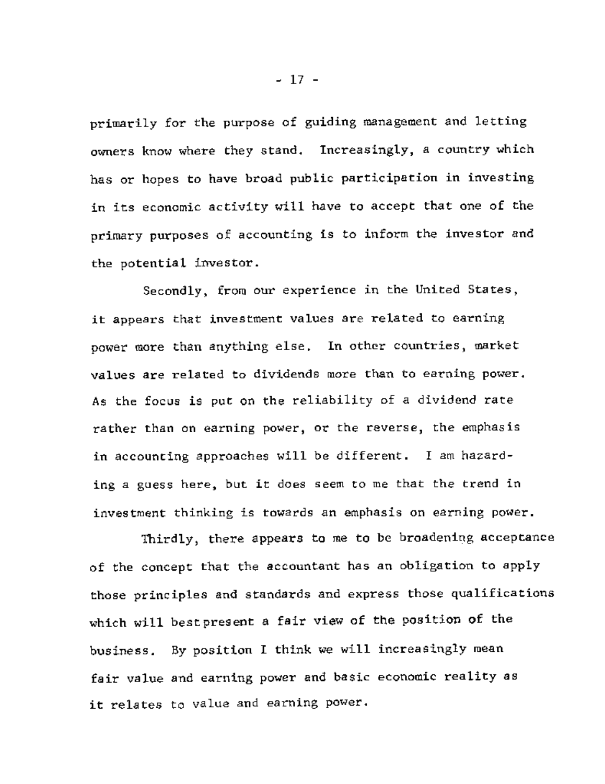primarily for the purpose of guiding management and letting owners know where they stand. Increasingly, a country which has or hopes to have broad public participation in investing in its economic activity will have to accept that one of the primary purposes of accounting is to inform the investor and the potential investor.

Secondly, from our experience in the United States, it appears that investment values are related to earning power more than anything else. In other countries, market values are related to dividends more than to earning power. As the focus is put on the reliability of a dividend rate rather than on earning power, or the reverse, the emphasis in accounting approaches will be different. I am hazarding a guess here, but it does seem to me that the trend in investment thinking is towards an emphasis on earning power.

Thirdly, there appears to me to be broadening acceptance of the concept that the accountant has an obligation to apply those principles and standards and express those qualifications which will bestpresent a fair view of the position of the business. By position I think we will increasingly mean fair value and earning power and basic economic reality as it relates to value and earning power.